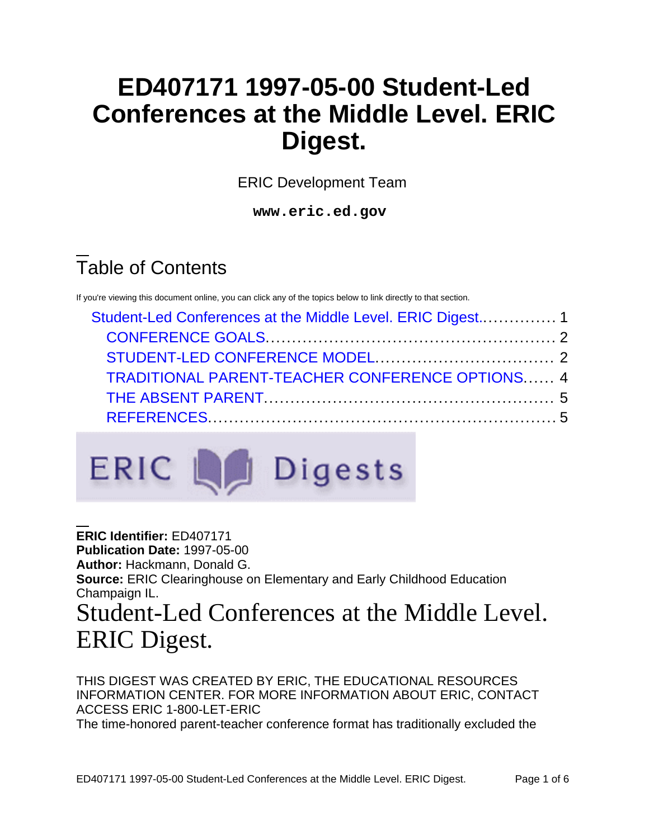## **ED407171 1997-05-00 Student-Led Conferences at the Middle Level. ERIC Digest.**

ERIC Development Team

**www.eric.ed.gov**

# Table of Contents

If you're viewing this document online, you can click any of the topics below to link directly to that section.

| Student-Led Conferences at the Middle Level. ERIC Digest 1 |  |
|------------------------------------------------------------|--|
|                                                            |  |
|                                                            |  |
| <b>TRADITIONAL PARENT-TEACHER CONFERENCE OPTIONS 4</b>     |  |
|                                                            |  |
|                                                            |  |



<span id="page-0-0"></span>**ERIC Identifier:** ED407171 **Publication Date:** 1997-05-00 **Author:** Hackmann, Donald G. **Source:** ERIC Clearinghouse on Elementary and Early Childhood Education Champaign IL. Student-Led Conferences at the Middle Level. ERIC Digest.

THIS DIGEST WAS CREATED BY ERIC, THE EDUCATIONAL RESOURCES INFORMATION CENTER. FOR MORE INFORMATION ABOUT ERIC, CONTACT ACCESS ERIC 1-800-LET-ERIC The time-honored parent-teacher conference format has traditionally excluded the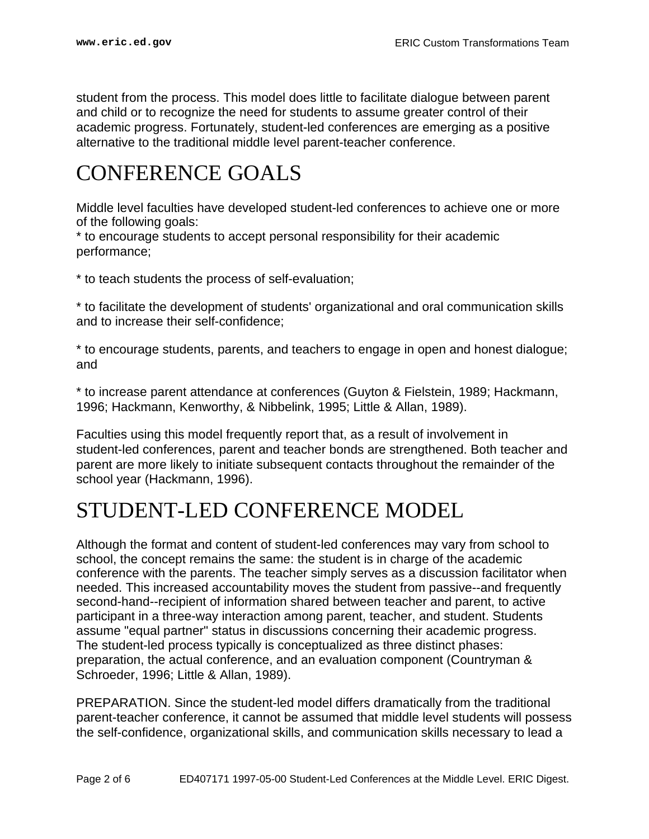student from the process. This model does little to facilitate dialogue between parent and child or to recognize the need for students to assume greater control of their academic progress. Fortunately, student-led conferences are emerging as a positive alternative to the traditional middle level parent-teacher conference.

### <span id="page-1-0"></span>CONFERENCE GOALS

Middle level faculties have developed student-led conferences to achieve one or more of the following goals:

\* to encourage students to accept personal responsibility for their academic performance;

\* to teach students the process of self-evaluation;

\* to facilitate the development of students' organizational and oral communication skills and to increase their self-confidence;

\* to encourage students, parents, and teachers to engage in open and honest dialogue; and

\* to increase parent attendance at conferences (Guyton & Fielstein, 1989; Hackmann, 1996; Hackmann, Kenworthy, & Nibbelink, 1995; Little & Allan, 1989).

Faculties using this model frequently report that, as a result of involvement in student-led conferences, parent and teacher bonds are strengthened. Both teacher and parent are more likely to initiate subsequent contacts throughout the remainder of the school year (Hackmann, 1996).

### <span id="page-1-1"></span>STUDENT-LED CONFERENCE MODEL

Although the format and content of student-led conferences may vary from school to school, the concept remains the same: the student is in charge of the academic conference with the parents. The teacher simply serves as a discussion facilitator when needed. This increased accountability moves the student from passive--and frequently second-hand--recipient of information shared between teacher and parent, to active participant in a three-way interaction among parent, teacher, and student. Students assume "equal partner" status in discussions concerning their academic progress. The student-led process typically is conceptualized as three distinct phases: preparation, the actual conference, and an evaluation component (Countryman & Schroeder, 1996; Little & Allan, 1989).

PREPARATION. Since the student-led model differs dramatically from the traditional parent-teacher conference, it cannot be assumed that middle level students will possess the self-confidence, organizational skills, and communication skills necessary to lead a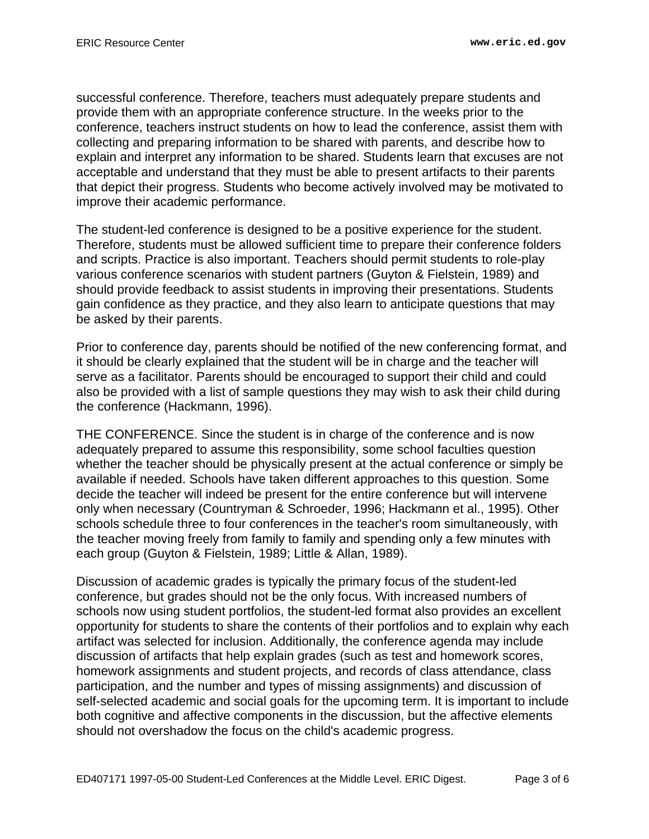successful conference. Therefore, teachers must adequately prepare students and provide them with an appropriate conference structure. In the weeks prior to the conference, teachers instruct students on how to lead the conference, assist them with collecting and preparing information to be shared with parents, and describe how to explain and interpret any information to be shared. Students learn that excuses are not acceptable and understand that they must be able to present artifacts to their parents that depict their progress. Students who become actively involved may be motivated to improve their academic performance.

The student-led conference is designed to be a positive experience for the student. Therefore, students must be allowed sufficient time to prepare their conference folders and scripts. Practice is also important. Teachers should permit students to role-play various conference scenarios with student partners (Guyton & Fielstein, 1989) and should provide feedback to assist students in improving their presentations. Students gain confidence as they practice, and they also learn to anticipate questions that may be asked by their parents.

Prior to conference day, parents should be notified of the new conferencing format, and it should be clearly explained that the student will be in charge and the teacher will serve as a facilitator. Parents should be encouraged to support their child and could also be provided with a list of sample questions they may wish to ask their child during the conference (Hackmann, 1996).

THE CONFERENCE. Since the student is in charge of the conference and is now adequately prepared to assume this responsibility, some school faculties question whether the teacher should be physically present at the actual conference or simply be available if needed. Schools have taken different approaches to this question. Some decide the teacher will indeed be present for the entire conference but will intervene only when necessary (Countryman & Schroeder, 1996; Hackmann et al., 1995). Other schools schedule three to four conferences in the teacher's room simultaneously, with the teacher moving freely from family to family and spending only a few minutes with each group (Guyton & Fielstein, 1989; Little & Allan, 1989).

Discussion of academic grades is typically the primary focus of the student-led conference, but grades should not be the only focus. With increased numbers of schools now using student portfolios, the student-led format also provides an excellent opportunity for students to share the contents of their portfolios and to explain why each artifact was selected for inclusion. Additionally, the conference agenda may include discussion of artifacts that help explain grades (such as test and homework scores, homework assignments and student projects, and records of class attendance, class participation, and the number and types of missing assignments) and discussion of self-selected academic and social goals for the upcoming term. It is important to include both cognitive and affective components in the discussion, but the affective elements should not overshadow the focus on the child's academic progress.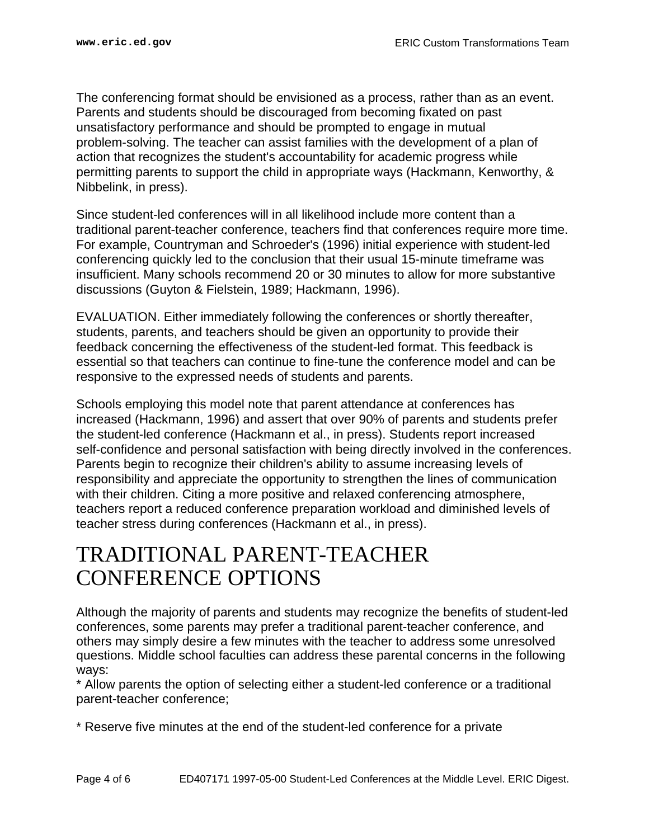The conferencing format should be envisioned as a process, rather than as an event. Parents and students should be discouraged from becoming fixated on past unsatisfactory performance and should be prompted to engage in mutual problem-solving. The teacher can assist families with the development of a plan of action that recognizes the student's accountability for academic progress while permitting parents to support the child in appropriate ways (Hackmann, Kenworthy, & Nibbelink, in press).

Since student-led conferences will in all likelihood include more content than a traditional parent-teacher conference, teachers find that conferences require more time. For example, Countryman and Schroeder's (1996) initial experience with student-led conferencing quickly led to the conclusion that their usual 15-minute timeframe was insufficient. Many schools recommend 20 or 30 minutes to allow for more substantive discussions (Guyton & Fielstein, 1989; Hackmann, 1996).

EVALUATION. Either immediately following the conferences or shortly thereafter, students, parents, and teachers should be given an opportunity to provide their feedback concerning the effectiveness of the student-led format. This feedback is essential so that teachers can continue to fine-tune the conference model and can be responsive to the expressed needs of students and parents.

Schools employing this model note that parent attendance at conferences has increased (Hackmann, 1996) and assert that over 90% of parents and students prefer the student-led conference (Hackmann et al., in press). Students report increased self-confidence and personal satisfaction with being directly involved in the conferences. Parents begin to recognize their children's ability to assume increasing levels of responsibility and appreciate the opportunity to strengthen the lines of communication with their children. Citing a more positive and relaxed conferencing atmosphere, teachers report a reduced conference preparation workload and diminished levels of teacher stress during conferences (Hackmann et al., in press).

#### <span id="page-3-0"></span>TRADITIONAL PARENT-TEACHER CONFERENCE OPTIONS

Although the majority of parents and students may recognize the benefits of student-led conferences, some parents may prefer a traditional parent-teacher conference, and others may simply desire a few minutes with the teacher to address some unresolved questions. Middle school faculties can address these parental concerns in the following ways:

\* Allow parents the option of selecting either a student-led conference or a traditional parent-teacher conference;

\* Reserve five minutes at the end of the student-led conference for a private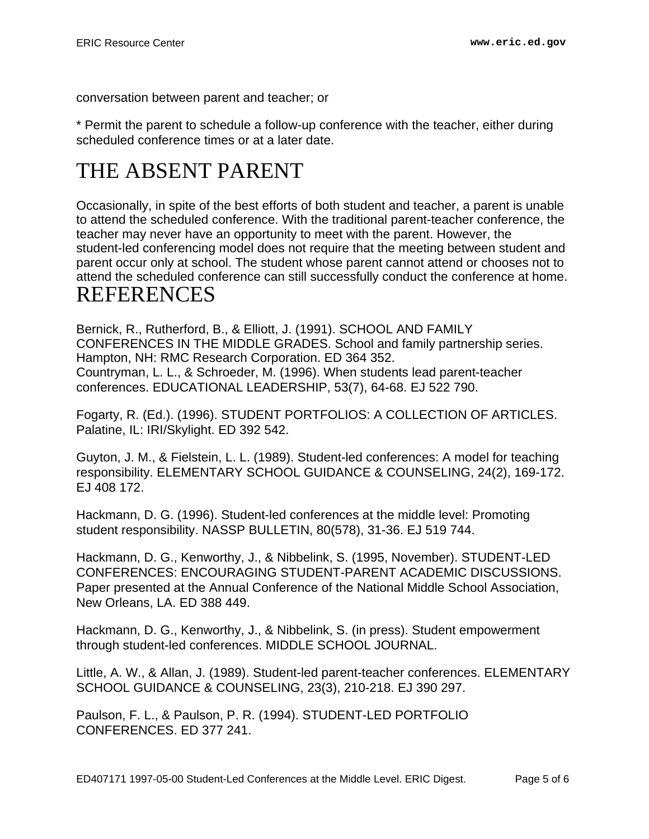conversation between parent and teacher; or

\* Permit the parent to schedule a follow-up conference with the teacher, either during scheduled conference times or at a later date.

## <span id="page-4-0"></span>THE ABSENT PARENT

Occasionally, in spite of the best efforts of both student and teacher, a parent is unable to attend the scheduled conference. With the traditional parent-teacher conference, the teacher may never have an opportunity to meet with the parent. However, the student-led conferencing model does not require that the meeting between student and parent occur only at school. The student whose parent cannot attend or chooses not to attend the scheduled conference can still successfully conduct the conference at home. REFERENCES

<span id="page-4-1"></span>Bernick, R., Rutherford, B., & Elliott, J. (1991). SCHOOL AND FAMILY CONFERENCES IN THE MIDDLE GRADES. School and family partnership series. Hampton, NH: RMC Research Corporation. ED 364 352. Countryman, L. L., & Schroeder, M. (1996). When students lead parent-teacher conferences. EDUCATIONAL LEADERSHIP, 53(7), 64-68. EJ 522 790.

Fogarty, R. (Ed.). (1996). STUDENT PORTFOLIOS: A COLLECTION OF ARTICLES. Palatine, IL: IRI/Skylight. ED 392 542.

Guyton, J. M., & Fielstein, L. L. (1989). Student-led conferences: A model for teaching responsibility. ELEMENTARY SCHOOL GUIDANCE & COUNSELING, 24(2), 169-172. EJ 408 172.

Hackmann, D. G. (1996). Student-led conferences at the middle level: Promoting student responsibility. NASSP BULLETIN, 80(578), 31-36. EJ 519 744.

Hackmann, D. G., Kenworthy, J., & Nibbelink, S. (1995, November). STUDENT-LED CONFERENCES: ENCOURAGING STUDENT-PARENT ACADEMIC DISCUSSIONS. Paper presented at the Annual Conference of the National Middle School Association, New Orleans, LA. ED 388 449.

Hackmann, D. G., Kenworthy, J., & Nibbelink, S. (in press). Student empowerment through student-led conferences. MIDDLE SCHOOL JOURNAL.

Little, A. W., & Allan, J. (1989). Student-led parent-teacher conferences. ELEMENTARY SCHOOL GUIDANCE & COUNSELING, 23(3), 210-218. EJ 390 297.

Paulson, F. L., & Paulson, P. R. (1994). STUDENT-LED PORTFOLIO CONFERENCES. ED 377 241.